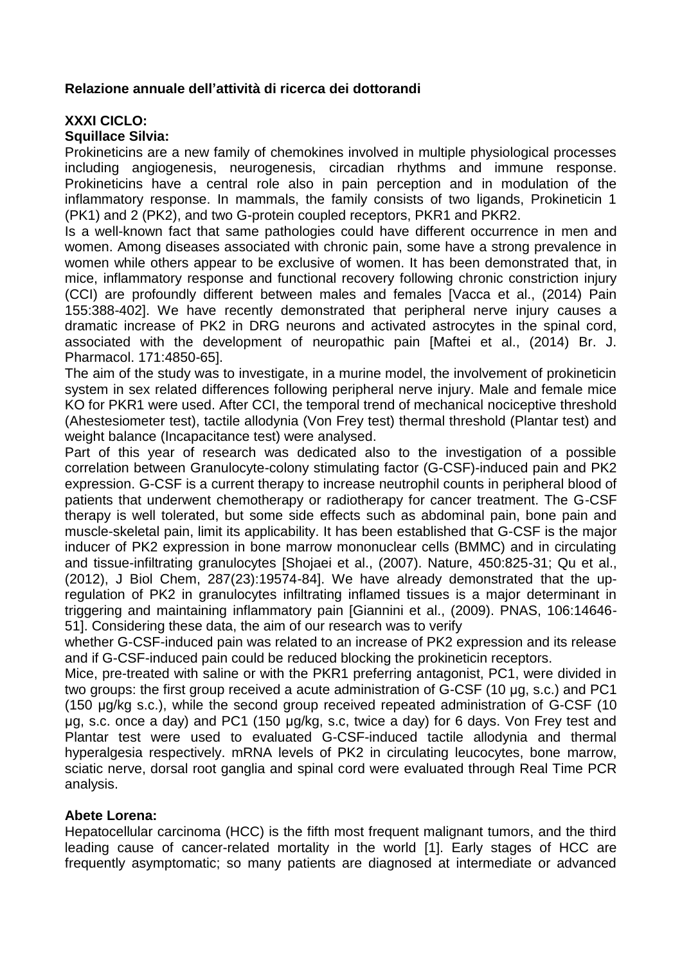## **Relazione annuale dell'attività di ricerca dei dottorandi**

# **XXXI CICLO:**

### **Squillace Silvia:**

Prokineticins are a new family of chemokines involved in multiple physiological processes including angiogenesis, neurogenesis, circadian rhythms and immune response. Prokineticins have a central role also in pain perception and in modulation of the inflammatory response. In mammals, the family consists of two ligands, Prokineticin 1 (PK1) and 2 (PK2), and two G-protein coupled receptors, PKR1 and PKR2.

Is a well-known fact that same pathologies could have different occurrence in men and women. Among diseases associated with chronic pain, some have a strong prevalence in women while others appear to be exclusive of women. It has been demonstrated that, in mice, inflammatory response and functional recovery following chronic constriction injury (CCI) are profoundly different between males and females [Vacca et al., (2014) Pain 155:388-402]. We have recently demonstrated that peripheral nerve injury causes a dramatic increase of PK2 in DRG neurons and activated astrocytes in the spinal cord, associated with the development of neuropathic pain [Maftei et al., (2014) Br. J. Pharmacol. 171:4850-65].

The aim of the study was to investigate, in a murine model, the involvement of prokineticin system in sex related differences following peripheral nerve injury. Male and female mice KO for PKR1 were used. After CCI, the temporal trend of mechanical nociceptive threshold (Ahestesiometer test), tactile allodynia (Von Frey test) thermal threshold (Plantar test) and weight balance (Incapacitance test) were analysed.

Part of this year of research was dedicated also to the investigation of a possible correlation between Granulocyte-colony stimulating factor (G-CSF)-induced pain and PK2 expression. G-CSF is a current therapy to increase neutrophil counts in peripheral blood of patients that underwent chemotherapy or radiotherapy for cancer treatment. The G-CSF therapy is well tolerated, but some side effects such as abdominal pain, bone pain and muscle-skeletal pain, limit its applicability. It has been established that G-CSF is the major inducer of PK2 expression in bone marrow mononuclear cells (BMMC) and in circulating and tissue-infiltrating granulocytes [Shojaei et al., (2007). Nature, 450:825-31; Qu et al., (2012), J Biol Chem, 287(23):19574-84]. We have already demonstrated that the upregulation of PK2 in granulocytes infiltrating inflamed tissues is a major determinant in triggering and maintaining inflammatory pain [Giannini et al., (2009). PNAS, 106:14646- 51]. Considering these data, the aim of our research was to verify

whether G-CSF-induced pain was related to an increase of PK2 expression and its release and if G-CSF-induced pain could be reduced blocking the prokineticin receptors.

Mice, pre-treated with saline or with the PKR1 preferring antagonist, PC1, were divided in two groups: the first group received a acute administration of G-CSF (10 μg, s.c.) and PC1 (150 μg/kg s.c.), while the second group received repeated administration of G-CSF (10 μg, s.c. once a day) and PC1 (150 μg/kg, s.c, twice a day) for 6 days. Von Frey test and Plantar test were used to evaluated G-CSF-induced tactile allodynia and thermal hyperalgesia respectively. mRNA levels of PK2 in circulating leucocytes, bone marrow, sciatic nerve, dorsal root ganglia and spinal cord were evaluated through Real Time PCR analysis.

### **Abete Lorena:**

Hepatocellular carcinoma (HCC) is the fifth most frequent malignant tumors, and the third leading cause of cancer-related mortality in the world [1]. Early stages of HCC are frequently asymptomatic; so many patients are diagnosed at intermediate or advanced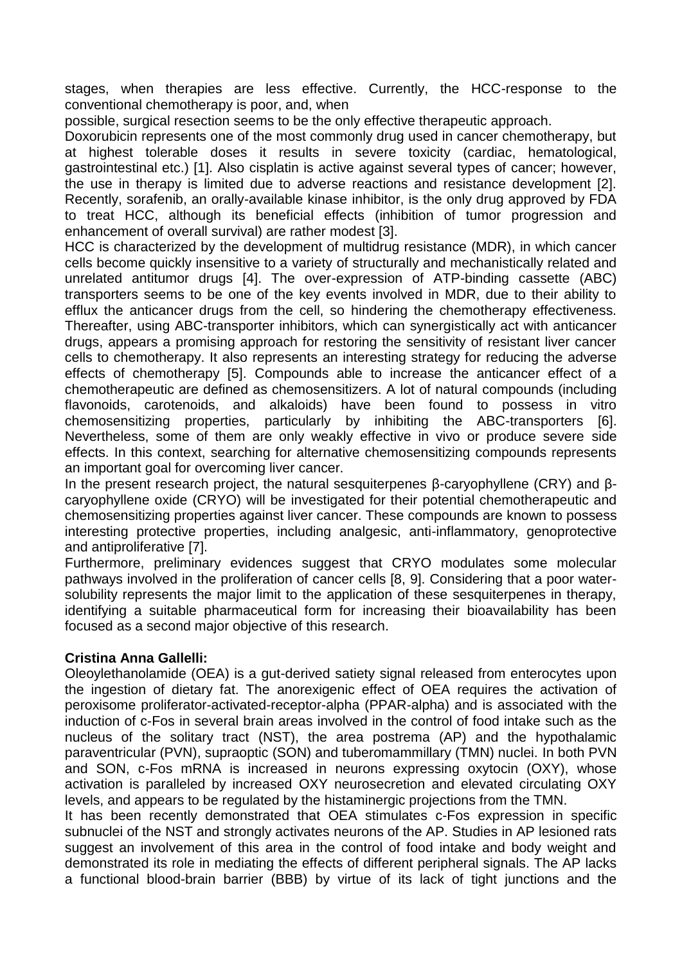stages, when therapies are less effective. Currently, the HCC-response to the conventional chemotherapy is poor, and, when

possible, surgical resection seems to be the only effective therapeutic approach.

Doxorubicin represents one of the most commonly drug used in cancer chemotherapy, but at highest tolerable doses it results in severe toxicity (cardiac, hematological, gastrointestinal etc.) [1]. Also cisplatin is active against several types of cancer; however, the use in therapy is limited due to adverse reactions and resistance development [2]. Recently, sorafenib, an orally-available kinase inhibitor, is the only drug approved by FDA to treat HCC, although its beneficial effects (inhibition of tumor progression and enhancement of overall survival) are rather modest [3].

HCC is characterized by the development of multidrug resistance (MDR), in which cancer cells become quickly insensitive to a variety of structurally and mechanistically related and unrelated antitumor drugs [4]. The over-expression of ATP-binding cassette (ABC) transporters seems to be one of the key events involved in MDR, due to their ability to efflux the anticancer drugs from the cell, so hindering the chemotherapy effectiveness. Thereafter, using ABC-transporter inhibitors, which can synergistically act with anticancer drugs, appears a promising approach for restoring the sensitivity of resistant liver cancer cells to chemotherapy. It also represents an interesting strategy for reducing the adverse effects of chemotherapy [5]. Compounds able to increase the anticancer effect of a chemotherapeutic are defined as chemosensitizers. A lot of natural compounds (including flavonoids, carotenoids, and alkaloids) have been found to possess in vitro chemosensitizing properties, particularly by inhibiting the ABC-transporters [6]. Nevertheless, some of them are only weakly effective in vivo or produce severe side effects. In this context, searching for alternative chemosensitizing compounds represents an important goal for overcoming liver cancer.

In the present research project, the natural sesquiterpenes β-caryophyllene (CRY) and βcaryophyllene oxide (CRYO) will be investigated for their potential chemotherapeutic and chemosensitizing properties against liver cancer. These compounds are known to possess interesting protective properties, including analgesic, anti-inflammatory, genoprotective and antiproliferative [7].

Furthermore, preliminary evidences suggest that CRYO modulates some molecular pathways involved in the proliferation of cancer cells [8, 9]. Considering that a poor watersolubility represents the major limit to the application of these sesquiterpenes in therapy, identifying a suitable pharmaceutical form for increasing their bioavailability has been focused as a second major objective of this research.

# **Cristina Anna Gallelli:**

Oleoylethanolamide (OEA) is a gut-derived satiety signal released from enterocytes upon the ingestion of dietary fat. The anorexigenic effect of OEA requires the activation of peroxisome proliferator-activated-receptor-alpha (PPAR-alpha) and is associated with the induction of c-Fos in several brain areas involved in the control of food intake such as the nucleus of the solitary tract (NST), the area postrema (AP) and the hypothalamic paraventricular (PVN), supraoptic (SON) and tuberomammillary (TMN) nuclei. In both PVN and SON, c-Fos mRNA is increased in neurons expressing oxytocin (OXY), whose activation is paralleled by increased OXY neurosecretion and elevated circulating OXY levels, and appears to be regulated by the histaminergic projections from the TMN.

It has been recently demonstrated that OEA stimulates c-Fos expression in specific subnuclei of the NST and strongly activates neurons of the AP. Studies in AP lesioned rats suggest an involvement of this area in the control of food intake and body weight and demonstrated its role in mediating the effects of different peripheral signals. The AP lacks a functional blood-brain barrier (BBB) by virtue of its lack of tight junctions and the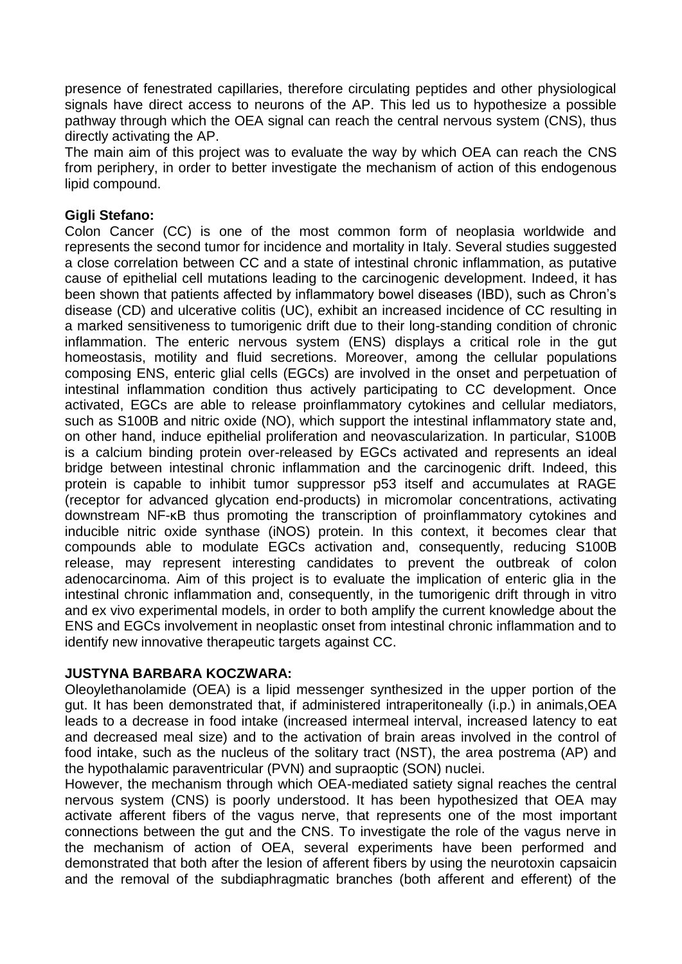presence of fenestrated capillaries, therefore circulating peptides and other physiological signals have direct access to neurons of the AP. This led us to hypothesize a possible pathway through which the OEA signal can reach the central nervous system (CNS), thus directly activating the AP.

The main aim of this project was to evaluate the way by which OEA can reach the CNS from periphery, in order to better investigate the mechanism of action of this endogenous lipid compound.

## **Gigli Stefano:**

Colon Cancer (CC) is one of the most common form of neoplasia worldwide and represents the second tumor for incidence and mortality in Italy. Several studies suggested a close correlation between CC and a state of intestinal chronic inflammation, as putative cause of epithelial cell mutations leading to the carcinogenic development. Indeed, it has been shown that patients affected by inflammatory bowel diseases (IBD), such as Chron's disease (CD) and ulcerative colitis (UC), exhibit an increased incidence of CC resulting in a marked sensitiveness to tumorigenic drift due to their long-standing condition of chronic inflammation. The enteric nervous system (ENS) displays a critical role in the gut homeostasis, motility and fluid secretions. Moreover, among the cellular populations composing ENS, enteric glial cells (EGCs) are involved in the onset and perpetuation of intestinal inflammation condition thus actively participating to CC development. Once activated, EGCs are able to release proinflammatory cytokines and cellular mediators, such as S100B and nitric oxide (NO), which support the intestinal inflammatory state and, on other hand, induce epithelial proliferation and neovascularization. In particular, S100B is a calcium binding protein over-released by EGCs activated and represents an ideal bridge between intestinal chronic inflammation and the carcinogenic drift. Indeed, this protein is capable to inhibit tumor suppressor p53 itself and accumulates at RAGE (receptor for advanced glycation end-products) in micromolar concentrations, activating downstream NF-κB thus promoting the transcription of proinflammatory cytokines and inducible nitric oxide synthase (iNOS) protein. In this context, it becomes clear that compounds able to modulate EGCs activation and, consequently, reducing S100B release, may represent interesting candidates to prevent the outbreak of colon adenocarcinoma. Aim of this project is to evaluate the implication of enteric glia in the intestinal chronic inflammation and, consequently, in the tumorigenic drift through in vitro and ex vivo experimental models, in order to both amplify the current knowledge about the ENS and EGCs involvement in neoplastic onset from intestinal chronic inflammation and to identify new innovative therapeutic targets against CC.

### **JUSTYNA BARBARA KOCZWARA:**

Oleoylethanolamide (OEA) is a lipid messenger synthesized in the upper portion of the gut. It has been demonstrated that, if administered intraperitoneally (i.p.) in animals,OEA leads to a decrease in food intake (increased intermeal interval, increased latency to eat and decreased meal size) and to the activation of brain areas involved in the control of food intake, such as the nucleus of the solitary tract (NST), the area postrema (AP) and the hypothalamic paraventricular (PVN) and supraoptic (SON) nuclei.

However, the mechanism through which OEA-mediated satiety signal reaches the central nervous system (CNS) is poorly understood. It has been hypothesized that OEA may activate afferent fibers of the vagus nerve, that represents one of the most important connections between the gut and the CNS. To investigate the role of the vagus nerve in the mechanism of action of OEA, several experiments have been performed and demonstrated that both after the lesion of afferent fibers by using the neurotoxin capsaicin and the removal of the subdiaphragmatic branches (both afferent and efferent) of the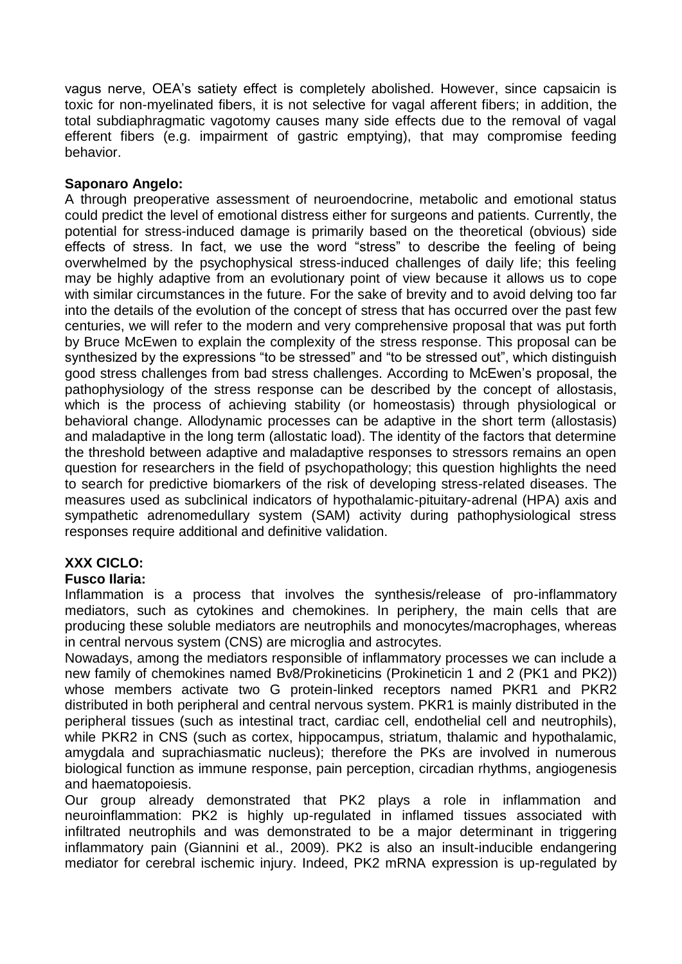vagus nerve, OEA's satiety effect is completely abolished. However, since capsaicin is toxic for non-myelinated fibers, it is not selective for vagal afferent fibers; in addition, the total subdiaphragmatic vagotomy causes many side effects due to the removal of vagal efferent fibers (e.g. impairment of gastric emptying), that may compromise feeding behavior.

## **Saponaro Angelo:**

A through preoperative assessment of neuroendocrine, metabolic and emotional status could predict the level of emotional distress either for surgeons and patients. Currently, the potential for stress-induced damage is primarily based on the theoretical (obvious) side effects of stress. In fact, we use the word "stress" to describe the feeling of being overwhelmed by the psychophysical stress-induced challenges of daily life; this feeling may be highly adaptive from an evolutionary point of view because it allows us to cope with similar circumstances in the future. For the sake of brevity and to avoid delving too far into the details of the evolution of the concept of stress that has occurred over the past few centuries, we will refer to the modern and very comprehensive proposal that was put forth by Bruce McEwen to explain the complexity of the stress response. This proposal can be synthesized by the expressions "to be stressed" and "to be stressed out", which distinguish good stress challenges from bad stress challenges. According to McEwen's proposal, the pathophysiology of the stress response can be described by the concept of allostasis, which is the process of achieving stability (or homeostasis) through physiological or behavioral change. Allodynamic processes can be adaptive in the short term (allostasis) and maladaptive in the long term (allostatic load). The identity of the factors that determine the threshold between adaptive and maladaptive responses to stressors remains an open question for researchers in the field of psychopathology; this question highlights the need to search for predictive biomarkers of the risk of developing stress-related diseases. The measures used as subclinical indicators of hypothalamic-pituitary-adrenal (HPA) axis and sympathetic adrenomedullary system (SAM) activity during pathophysiological stress responses require additional and definitive validation.

# **XXX CICLO:**

### **Fusco Ilaria:**

Inflammation is a process that involves the synthesis/release of pro-inflammatory mediators, such as cytokines and chemokines. In periphery, the main cells that are producing these soluble mediators are neutrophils and monocytes/macrophages, whereas in central nervous system (CNS) are microglia and astrocytes.

Nowadays, among the mediators responsible of inflammatory processes we can include a new family of chemokines named Bv8/Prokineticins (Prokineticin 1 and 2 (PK1 and PK2)) whose members activate two G protein-linked receptors named PKR1 and PKR2 distributed in both peripheral and central nervous system. PKR1 is mainly distributed in the peripheral tissues (such as intestinal tract, cardiac cell, endothelial cell and neutrophils), while PKR2 in CNS (such as cortex, hippocampus, striatum, thalamic and hypothalamic, amygdala and suprachiasmatic nucleus); therefore the PKs are involved in numerous biological function as immune response, pain perception, circadian rhythms, angiogenesis and haematopoiesis.

Our group already demonstrated that PK2 plays a role in inflammation and neuroinflammation: PK2 is highly up-regulated in inflamed tissues associated with infiltrated neutrophils and was demonstrated to be a major determinant in triggering inflammatory pain (Giannini et al., 2009). PK2 is also an insult-inducible endangering mediator for cerebral ischemic injury. Indeed, PK2 mRNA expression is up-regulated by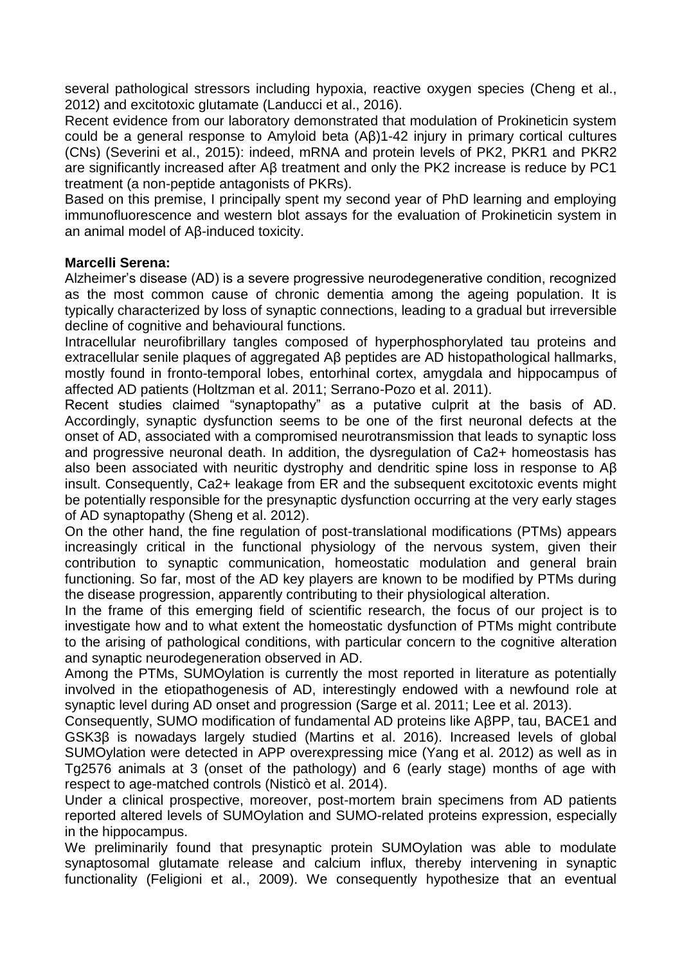several pathological stressors including hypoxia, reactive oxygen species (Cheng et al., 2012) and excitotoxic glutamate (Landucci et al., 2016).

Recent evidence from our laboratory demonstrated that modulation of Prokineticin system could be a general response to Amyloid beta (Aβ)1-42 injury in primary cortical cultures (CNs) (Severini et al., 2015): indeed, mRNA and protein levels of PK2, PKR1 and PKR2 are significantly increased after Aβ treatment and only the PK2 increase is reduce by PC1 treatment (a non-peptide antagonists of PKRs).

Based on this premise, I principally spent my second year of PhD learning and employing immunofluorescence and western blot assays for the evaluation of Prokineticin system in an animal model of Aβ-induced toxicity.

#### **Marcelli Serena:**

Alzheimer's disease (AD) is a severe progressive neurodegenerative condition, recognized as the most common cause of chronic dementia among the ageing population. It is typically characterized by loss of synaptic connections, leading to a gradual but irreversible decline of cognitive and behavioural functions.

Intracellular neurofibrillary tangles composed of hyperphosphorylated tau proteins and extracellular senile plaques of aggregated Aβ peptides are AD histopathological hallmarks, mostly found in fronto-temporal lobes, entorhinal cortex, amygdala and hippocampus of affected AD patients (Holtzman et al. 2011; Serrano-Pozo et al. 2011).

Recent studies claimed "synaptopathy" as a putative culprit at the basis of AD. Accordingly, synaptic dysfunction seems to be one of the first neuronal defects at the onset of AD, associated with a compromised neurotransmission that leads to synaptic loss and progressive neuronal death. In addition, the dysregulation of Ca2+ homeostasis has also been associated with neuritic dystrophy and dendritic spine loss in response to Aβ insult. Consequently, Ca2+ leakage from ER and the subsequent excitotoxic events might be potentially responsible for the presynaptic dysfunction occurring at the very early stages of AD synaptopathy (Sheng et al. 2012).

On the other hand, the fine regulation of post-translational modifications (PTMs) appears increasingly critical in the functional physiology of the nervous system, given their contribution to synaptic communication, homeostatic modulation and general brain functioning. So far, most of the AD key players are known to be modified by PTMs during the disease progression, apparently contributing to their physiological alteration.

In the frame of this emerging field of scientific research, the focus of our project is to investigate how and to what extent the homeostatic dysfunction of PTMs might contribute to the arising of pathological conditions, with particular concern to the cognitive alteration and synaptic neurodegeneration observed in AD.

Among the PTMs, SUMOylation is currently the most reported in literature as potentially involved in the etiopathogenesis of AD, interestingly endowed with a newfound role at synaptic level during AD onset and progression (Sarge et al. 2011; Lee et al. 2013).

Consequently, SUMO modification of fundamental AD proteins like AβPP, tau, BACE1 and GSK3β is nowadays largely studied (Martins et al. 2016). Increased levels of global SUMOylation were detected in APP overexpressing mice (Yang et al. 2012) as well as in Tg2576 animals at 3 (onset of the pathology) and 6 (early stage) months of age with respect to age-matched controls (Nisticò et al. 2014).

Under a clinical prospective, moreover, post-mortem brain specimens from AD patients reported altered levels of SUMOylation and SUMO-related proteins expression, especially in the hippocampus.

We preliminarily found that presynaptic protein SUMOylation was able to modulate synaptosomal glutamate release and calcium influx, thereby intervening in synaptic functionality (Feligioni et al., 2009). We consequently hypothesize that an eventual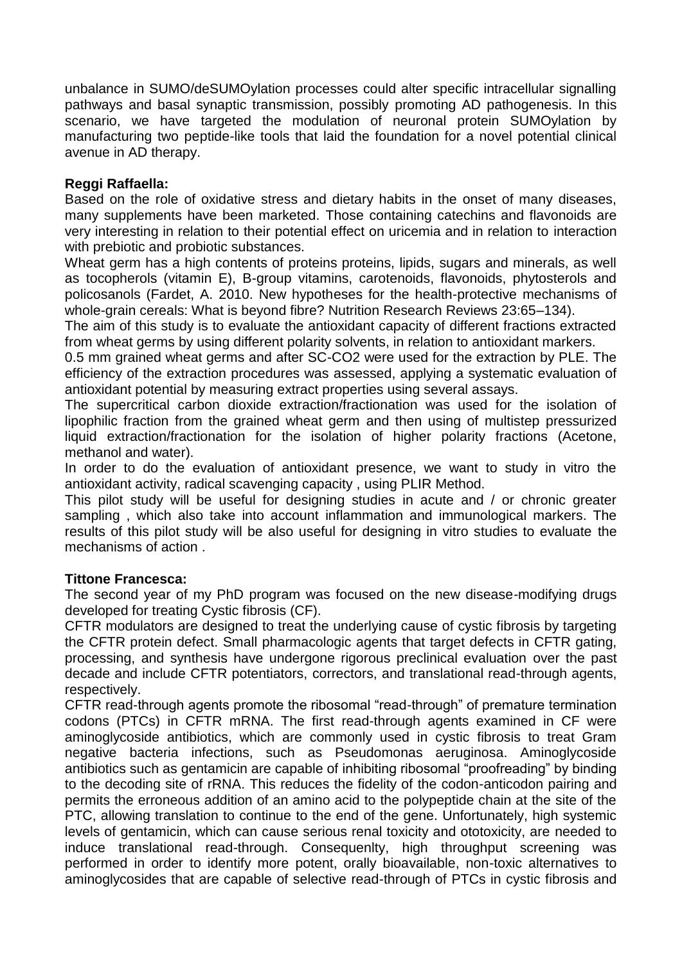unbalance in SUMO/deSUMOylation processes could alter specific intracellular signalling pathways and basal synaptic transmission, possibly promoting AD pathogenesis. In this scenario, we have targeted the modulation of neuronal protein SUMOylation by manufacturing two peptide-like tools that laid the foundation for a novel potential clinical avenue in AD therapy.

## **Reggi Raffaella:**

Based on the role of oxidative stress and dietary habits in the onset of many diseases, many supplements have been marketed. Those containing catechins and flavonoids are very interesting in relation to their potential effect on uricemia and in relation to interaction with prebiotic and probiotic substances.

Wheat germ has a high contents of proteins proteins, lipids, sugars and minerals, as well as tocopherols (vitamin E), B-group vitamins, carotenoids, flavonoids, phytosterols and policosanols (Fardet, A. 2010. New hypotheses for the health-protective mechanisms of whole-grain cereals: What is beyond fibre? Nutrition Research Reviews 23:65–134).

The aim of this study is to evaluate the antioxidant capacity of different fractions extracted from wheat germs by using different polarity solvents, in relation to antioxidant markers.

0.5 mm grained wheat germs and after SC-CO2 were used for the extraction by PLE. The efficiency of the extraction procedures was assessed, applying a systematic evaluation of antioxidant potential by measuring extract properties using several assays.

The supercritical carbon dioxide extraction/fractionation was used for the isolation of lipophilic fraction from the grained wheat germ and then using of multistep pressurized liquid extraction/fractionation for the isolation of higher polarity fractions (Acetone, methanol and water).

In order to do the evaluation of antioxidant presence, we want to study in vitro the antioxidant activity, radical scavenging capacity , using PLIR Method.

This pilot study will be useful for designing studies in acute and / or chronic greater sampling , which also take into account inflammation and immunological markers. The results of this pilot study will be also useful for designing in vitro studies to evaluate the mechanisms of action .

### **Tittone Francesca:**

The second year of my PhD program was focused on the new disease-modifying drugs developed for treating Cystic fibrosis (CF).

CFTR modulators are designed to treat the underlying cause of cystic fibrosis by targeting the CFTR protein defect. Small pharmacologic agents that target defects in CFTR gating, processing, and synthesis have undergone rigorous preclinical evaluation over the past decade and include CFTR potentiators, correctors, and translational read-through agents, respectively.

CFTR read-through agents promote the ribosomal "read-through" of premature termination codons (PTCs) in CFTR mRNA. The first read-through agents examined in CF were aminoglycoside antibiotics, which are commonly used in cystic fibrosis to treat Gram negative bacteria infections, such as Pseudomonas aeruginosa. Aminoglycoside antibiotics such as gentamicin are capable of inhibiting ribosomal "proofreading" by binding to the decoding site of rRNA. This reduces the fidelity of the codon-anticodon pairing and permits the erroneous addition of an amino acid to the polypeptide chain at the site of the PTC, allowing translation to continue to the end of the gene. Unfortunately, high systemic levels of gentamicin, which can cause serious renal toxicity and ototoxicity, are needed to induce translational read-through. Consequenlty, high throughput screening was performed in order to identify more potent, orally bioavailable, non-toxic alternatives to aminoglycosides that are capable of selective read-through of PTCs in cystic fibrosis and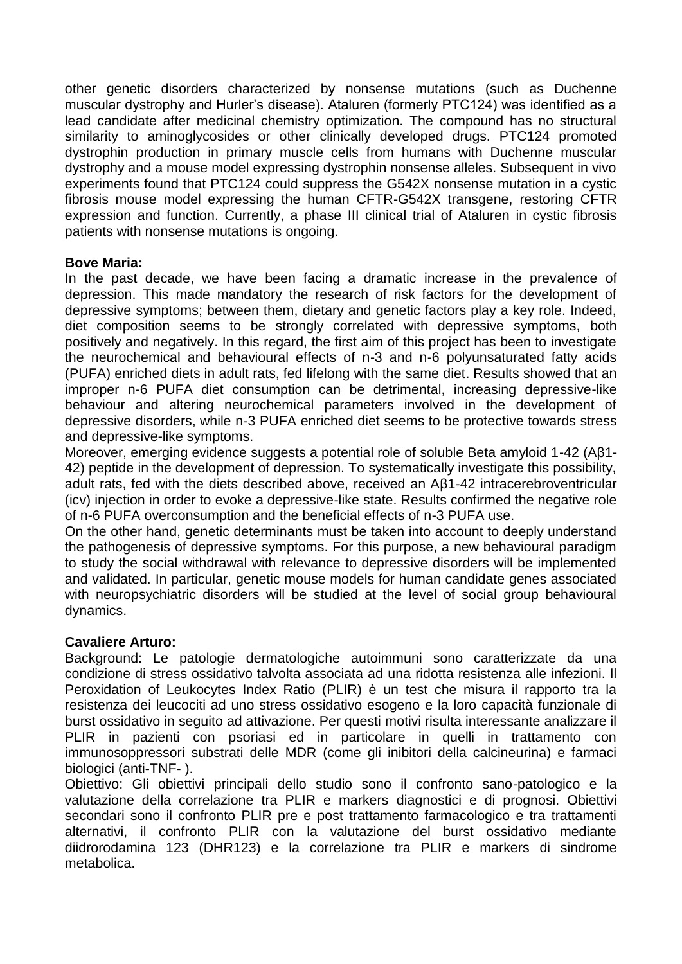other genetic disorders characterized by nonsense mutations (such as Duchenne muscular dystrophy and Hurler's disease). Ataluren (formerly PTC124) was identified as a lead candidate after medicinal chemistry optimization. The compound has no structural similarity to aminoglycosides or other clinically developed drugs. PTC124 promoted dystrophin production in primary muscle cells from humans with Duchenne muscular dystrophy and a mouse model expressing dystrophin nonsense alleles. Subsequent in vivo experiments found that PTC124 could suppress the G542X nonsense mutation in a cystic fibrosis mouse model expressing the human CFTR-G542X transgene, restoring CFTR expression and function. Currently, a phase III clinical trial of Ataluren in cystic fibrosis patients with nonsense mutations is ongoing.

### **Bove Maria:**

In the past decade, we have been facing a dramatic increase in the prevalence of depression. This made mandatory the research of risk factors for the development of depressive symptoms; between them, dietary and genetic factors play a key role. Indeed, diet composition seems to be strongly correlated with depressive symptoms, both positively and negatively. In this regard, the first aim of this project has been to investigate the neurochemical and behavioural effects of n-3 and n-6 polyunsaturated fatty acids (PUFA) enriched diets in adult rats, fed lifelong with the same diet. Results showed that an improper n-6 PUFA diet consumption can be detrimental, increasing depressive-like behaviour and altering neurochemical parameters involved in the development of depressive disorders, while n-3 PUFA enriched diet seems to be protective towards stress and depressive-like symptoms.

Moreover, emerging evidence suggests a potential role of soluble Beta amyloid 1-42 (Aβ1- 42) peptide in the development of depression. To systematically investigate this possibility, adult rats, fed with the diets described above, received an Aβ1-42 intracerebroventricular (icv) injection in order to evoke a depressive-like state. Results confirmed the negative role of n-6 PUFA overconsumption and the beneficial effects of n-3 PUFA use.

On the other hand, genetic determinants must be taken into account to deeply understand the pathogenesis of depressive symptoms. For this purpose, a new behavioural paradigm to study the social withdrawal with relevance to depressive disorders will be implemented and validated. In particular, genetic mouse models for human candidate genes associated with neuropsychiatric disorders will be studied at the level of social group behavioural dynamics.

# **Cavaliere Arturo:**

Background: Le patologie dermatologiche autoimmuni sono caratterizzate da una condizione di stress ossidativo talvolta associata ad una ridotta resistenza alle infezioni. Il Peroxidation of Leukocytes Index Ratio (PLIR) è un test che misura il rapporto tra la resistenza dei leucociti ad uno stress ossidativo esogeno e la loro capacità funzionale di burst ossidativo in seguito ad attivazione. Per questi motivi risulta interessante analizzare il PLIR in pazienti con psoriasi ed in particolare in quelli in trattamento con immunosoppressori substrati delle MDR (come gli inibitori della calcineurina) e farmaci biologici (anti-TNF- ).

Obiettivo: Gli obiettivi principali dello studio sono il confronto sano-patologico e la valutazione della correlazione tra PLIR e markers diagnostici e di prognosi. Obiettivi secondari sono il confronto PLIR pre e post trattamento farmacologico e tra trattamenti alternativi, il confronto PLIR con la valutazione del burst ossidativo mediante diidrorodamina 123 (DHR123) e la correlazione tra PLIR e markers di sindrome metabolica.